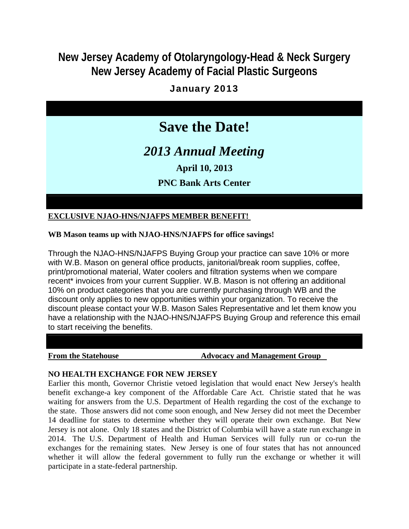## **New Jersey Academy of Otolaryngology-Head & Neck Surgery New Jersey Academy of Facial Plastic Surgeons**

## January 2013

# **Save the Date!**

*2013 Annual Meeting*

**April 10, 2013**

**PNC Bank Arts Center**

### **EXCLUSIVE NJAO-HNS/NJAFPS MEMBER BENEFIT!**

#### **WB Mason teams up with NJAO-HNS/NJAFPS for office savings!**

Through the NJAO-HNS/NJAFPS Buying Group your practice can save 10% or more with W.B. Mason on general office products, janitorial/break room supplies, coffee, print/promotional material, Water coolers and filtration systems when we compare recent\* invoices from your current Supplier. W.B. Mason is not offering an additional 10% on product categories that you are currently purchasing through WB and the discount only applies to new opportunities within your organization. To receive the discount please contact your W.B. Mason Sales Representative and let them know you have a relationship with the NJAO-HNS/NJAFPS Buying Group and reference this email to start receiving the benefits.

#### **From the Statehouse 32 Advocacy and Management Group**

### **NO HEALTH EXCHANGE FOR NEW JERSEY**

Earlier this month, Governor Christie vetoed legislation that would enact New Jersey's health benefit exchange-a key component of the Affordable Care Act. Christie stated that he was waiting for answers from the U.S. Department of Health regarding the cost of the exchange to the state. Those answers did not come soon enough, and New Jersey did not meet the December 14 deadline for states to determine whether they will operate their own exchange. But New Jersey is not alone. Only 18 states and the District of Columbia will have a state run exchange in 2014. The U.S. Department of Health and Human Services will fully run or co-run the exchanges for the remaining states. New Jersey is one of four states that has not announced whether it will allow the federal government to fully run the exchange or whether it will participate in a state-federal partnership.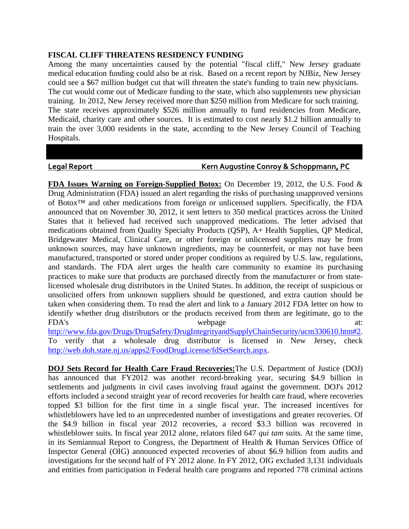#### **FISCAL CLIFF THREATENS RESIDENCY FUNDING**

Among the many uncertainties caused by the potential "fiscal cliff," New Jersey graduate medical education funding could also be at risk. Based on a recent report by NJBiz, New Jersey could see a \$67 million budget cut that will threaten the state's funding to train new physicians. The cut would come out of Medicare funding to the state, which also supplements new physician training. In 2012, New Jersey received more than \$250 million from Medicare for such training. The state receives approximately \$526 million annually to fund residencies from Medicare, Medicaid, charity care and other sources. It is estimated to cost nearly \$1.2 billion annually to train the over 3,000 residents in the state, according to the New Jersey Council of Teaching Hospitals.

#### **Legal Report Kern Augustine Conroy & Schoppmann, PC**

**FDA Issues Warning on Foreign-Supplied Botox:** On December 19, 2012, the U.S. Food & Drug Administration (FDA) issued an alert regarding the risks of purchasing unapproved versions of Botox™ and other medications from foreign or unlicensed suppliers. Specifically, the FDA announced that on November 30, 2012, it sent letters to 350 medical practices across the United States that it believed had received such unapproved medications. The letter advised that medications obtained from Quality Specialty Products (QSP), A+ Health Supplies, QP Medical, Bridgewater Medical, Clinical Care, or other foreign or unlicensed suppliers may be from unknown sources, may have unknown ingredients, may be counterfeit, or may not have been manufactured, transported or stored under proper conditions as required by U.S. law, regulations, and standards. The FDA alert urges the health care community to examine its purchasing practices to make sure that products are purchased directly from the manufacturer or from statelicensed wholesale drug distributors in the United States. In addition, the receipt of suspicious or unsolicited offers from unknown suppliers should be questioned, and extra caution should be taken when considering them. To read the alert and link to a January 2012 FDA letter on how to identify whether drug distributors or the products received from them are legitimate, go to the FDA's webpage at: http://www.fda.gov/Drugs/DrugSafety/DrugIntegrityandSupplyChainSecurity/ucm330610.htm#2. To verify that a wholesale drug distributor is licensed in New Jersey, check http://web.doh.state.nj.us/apps2/FoodDrugLicense/fdSetSearch.aspx.

**DOJ Sets Record for Health Care Fraud Recoveries:**The U.S. Department of Justice (DOJ) has announced that FY2012 was another record-breaking year, securing \$4.9 billion in settlements and judgments in civil cases involving fraud against the government. DOJ's 2012 efforts included a second straight year of record recoveries for health care fraud, where recoveries topped \$3 billion for the first time in a single fiscal year. The increased incentives for whistleblowers have led to an unprecedented number of investigations and greater recoveries. Of the \$4.9 billion in fiscal year 2012 recoveries, a record \$3.3 billion was recovered in whistleblower suits. In fiscal year 2012 alone, relators filed 647 *qui tam* suits. At the same time, in its Semiannual Report to Congress, the Department of Health & Human Services Office of Inspector General (OIG) announced expected recoveries of about \$6.9 billion from audits and investigations for the second half of FY 2012 alone. In FY 2012, OIG excluded 3,131 individuals and entities from participation in Federal health care programs and reported 778 criminal actions